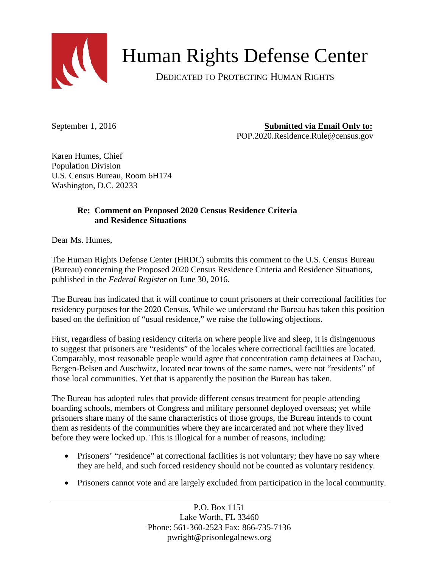

## Human Rights Defense Center

DEDICATED TO PROTECTING HUMAN RIGHTS

September 1, 2016 **Submitted via Email Only to:** 

POP.2020.Residence.Rule@census.gov

Karen Humes, Chief Population Division U.S. Census Bureau, Room 6H174 Washington, D.C. 20233

## **Re: Comment on Proposed 2020 Census Residence Criteria and Residence Situations**

Dear Ms. Humes,

The Human Rights Defense Center (HRDC) submits this comment to the U.S. Census Bureau (Bureau) concerning the Proposed 2020 Census Residence Criteria and Residence Situations, published in the *Federal Register* on June 30, 2016.

The Bureau has indicated that it will continue to count prisoners at their correctional facilities for residency purposes for the 2020 Census. While we understand the Bureau has taken this position based on the definition of "usual residence," we raise the following objections.

First, regardless of basing residency criteria on where people live and sleep, it is disingenuous to suggest that prisoners are "residents" of the locales where correctional facilities are located. Comparably, most reasonable people would agree that concentration camp detainees at Dachau, Bergen-Belsen and Auschwitz, located near towns of the same names, were not "residents" of those local communities. Yet that is apparently the position the Bureau has taken.

The Bureau has adopted rules that provide different census treatment for people attending boarding schools, members of Congress and military personnel deployed overseas; yet while prisoners share many of the same characteristics of those groups, the Bureau intends to count them as residents of the communities where they are incarcerated and not where they lived before they were locked up. This is illogical for a number of reasons, including:

- Prisoners' "residence" at correctional facilities is not voluntary; they have no say where they are held, and such forced residency should not be counted as voluntary residency.
- Prisoners cannot vote and are largely excluded from participation in the local community.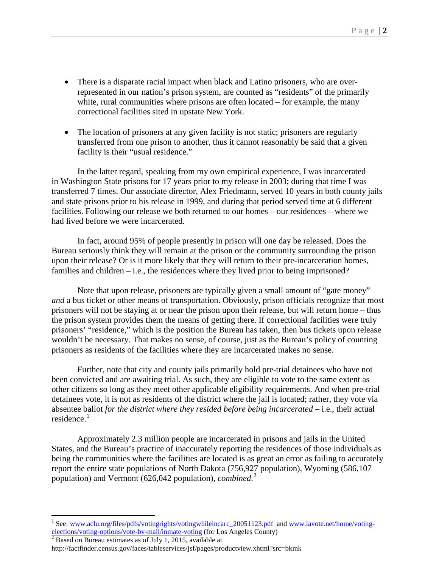- There is a disparate racial impact when black and Latino prisoners, who are overrepresented in our nation's prison system, are counted as "residents" of the primarily white, rural communities where prisons are often located – for example, the many correctional facilities sited in upstate New York.
- The location of prisoners at any given facility is not static; prisoners are regularly transferred from one prison to another, thus it cannot reasonably be said that a given facility is their "usual residence."

In the latter regard, speaking from my own empirical experience, I was incarcerated in Washington State prisons for 17 years prior to my release in 2003; during that time I was transferred 7 times. Our associate director, Alex Friedmann, served 10 years in both county jails and state prisons prior to his release in 1999, and during that period served time at 6 different facilities. Following our release we both returned to our homes – our residences – where we had lived before we were incarcerated.

In fact, around 95% of people presently in prison will one day be released. Does the Bureau seriously think they will remain at the prison or the community surrounding the prison upon their release? Or is it more likely that they will return to their pre-incarceration homes, families and children  $-$  i.e., the residences where they lived prior to being imprisoned?

Note that upon release, prisoners are typically given a small amount of "gate money" *and* a bus ticket or other means of transportation. Obviously, prison officials recognize that most prisoners will not be staying at or near the prison upon their release, but will return home – thus the prison system provides them the means of getting there. If correctional facilities were truly prisoners' "residence," which is the position the Bureau has taken, then bus tickets upon release wouldn't be necessary. That makes no sense, of course, just as the Bureau's policy of counting prisoners as residents of the facilities where they are incarcerated makes no sense.

Further, note that city and county jails primarily hold pre-trial detainees who have not been convicted and are awaiting trial. As such, they are eligible to vote to the same extent as other citizens so long as they meet other applicable eligibility requirements. And when pre-trial detainees vote, it is not as residents of the district where the jail is located; rather, they vote via absentee ballot *for the district where they resided before being incarcerated* – i.e., their actual residence. $1$ 

Approximately 2.3 million people are incarcerated in prisons and jails in the United States, and the Bureau's practice of inaccurately reporting the residences of those individuals as being the communities where the facilities are located is as great an error as failing to accurately report the entire state populations of North Dakota (756,927 population), Wyoming (586,107 population) and Vermont (626,042 population), *combined*. [2](#page-1-1)

<span id="page-1-0"></span><sup>&</sup>lt;sup>1</sup> See: www.aclu.org/files/pdfs/votingrights/votingwhileincarc 20051123.pdf and www.lavote.net/home/voting-elections/voting-options/vote-by-mail/inmate-voting (for Los Angeles County)

<span id="page-1-1"></span> $\frac{1}{2}$  Based on Bureau estimates as of July 1, 2015, available at

http://factfinder.census.gov/faces/tableservices/jsf/pages/productview.xhtml?src=bkmk